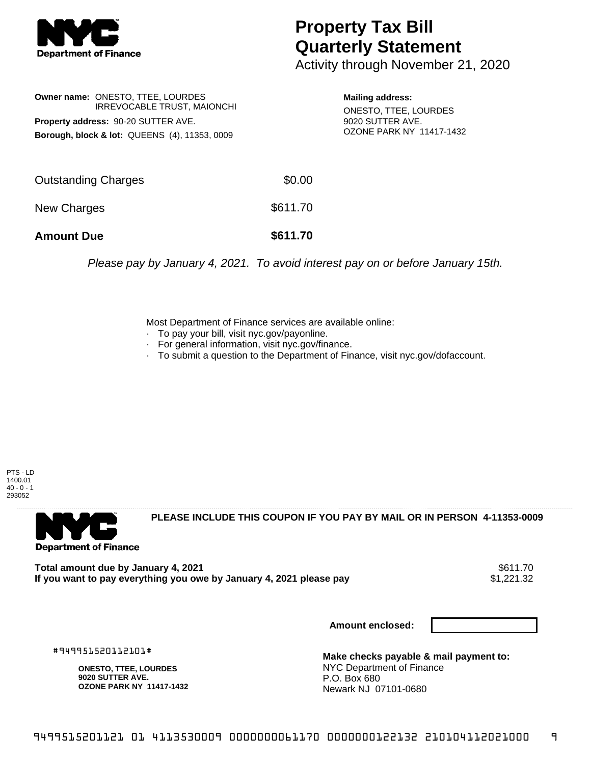

## **Property Tax Bill Quarterly Statement**

Activity through November 21, 2020

|                                               | <b>Owner name: ONESTO, TTEE, LOURDES</b><br><b>IRREVOCABLE TRUST, MAIONCHI</b> |  |  |  |
|-----------------------------------------------|--------------------------------------------------------------------------------|--|--|--|
| Property address: 90-20 SUTTER AVE.           |                                                                                |  |  |  |
| Borough, block & lot: QUEENS (4), 11353, 0009 |                                                                                |  |  |  |

**Mailing address:** ONESTO, TTEE, LOURDES 9020 SUTTER AVE. OZONE PARK NY 11417-1432

| <b>Amount Due</b>   | \$611.70 |
|---------------------|----------|
| New Charges         | \$611.70 |
| Outstanding Charges | \$0.00   |

Please pay by January 4, 2021. To avoid interest pay on or before January 15th.

Most Department of Finance services are available online:

- · To pay your bill, visit nyc.gov/payonline.
- For general information, visit nyc.gov/finance.
- · To submit a question to the Department of Finance, visit nyc.gov/dofaccount.

PTS - LD 1400.01  $40 - 0 - 1$ 293052



**PLEASE INCLUDE THIS COUPON IF YOU PAY BY MAIL OR IN PERSON 4-11353-0009** 

**Total amount due by January 4, 2021** \$611.70 If you want to pay everything you owe by January 4, 2021 please pay

**Amount enclosed:**

#949951520112101#

**ONESTO, TTEE, LOURDES 9020 SUTTER AVE. OZONE PARK NY 11417-1432**

**Make checks payable & mail payment to:** NYC Department of Finance P.O. Box 680 Newark NJ 07101-0680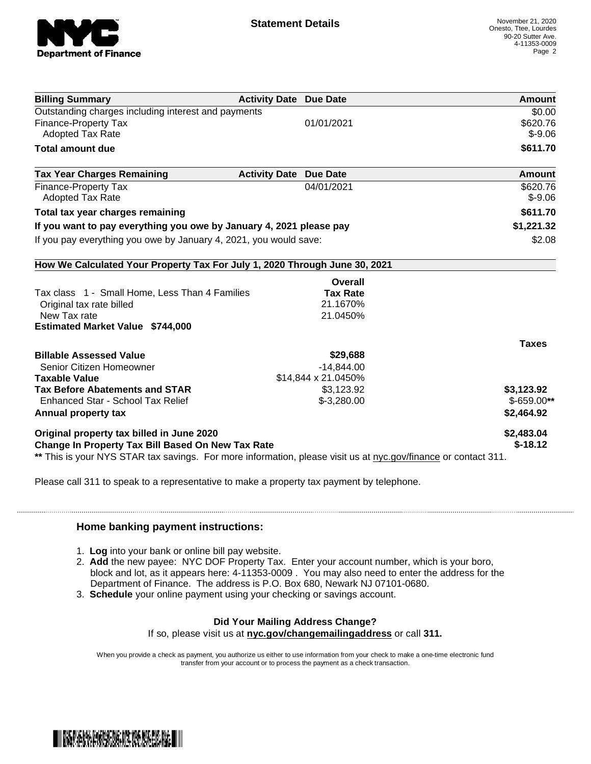

| <b>Billing Summary</b>                                                                                         | <b>Activity Date Due Date</b> | <b>Amount</b> |
|----------------------------------------------------------------------------------------------------------------|-------------------------------|---------------|
| Outstanding charges including interest and payments                                                            | \$0.00                        |               |
| <b>Finance-Property Tax</b>                                                                                    | 01/01/2021                    | \$620.76      |
| <b>Adopted Tax Rate</b>                                                                                        |                               | $$ -9.06$     |
| <b>Total amount due</b>                                                                                        |                               | \$611.70      |
| <b>Tax Year Charges Remaining</b>                                                                              | <b>Activity Date Due Date</b> | Amount        |
| Finance-Property Tax                                                                                           | 04/01/2021                    | \$620.76      |
| <b>Adopted Tax Rate</b>                                                                                        |                               | $$-9.06$      |
| Total tax year charges remaining                                                                               | \$611.70                      |               |
| If you want to pay everything you owe by January 4, 2021 please pay                                            | \$1,221.32                    |               |
| If you pay everything you owe by January 4, 2021, you would save:                                              | \$2.08                        |               |
| How We Calculated Your Property Tax For July 1, 2020 Through June 30, 2021                                     |                               |               |
|                                                                                                                | Overall                       |               |
| Tax class 1 - Small Home, Less Than 4 Families                                                                 | <b>Tax Rate</b>               |               |
| Original tax rate billed                                                                                       | 21.1670%                      |               |
| New Tax rate                                                                                                   | 21.0450%                      |               |
| <b>Estimated Market Value \$744,000</b>                                                                        |                               |               |
|                                                                                                                |                               | <b>Taxes</b>  |
| <b>Billable Assessed Value</b>                                                                                 | \$29,688                      |               |
| Senior Citizen Homeowner                                                                                       | $-14,844.00$                  |               |
| <b>Taxable Value</b>                                                                                           |                               |               |
| <b>Tax Before Abatements and STAR</b>                                                                          | \$3,123.92                    | \$3,123.92    |
| Enhanced Star - School Tax Relief                                                                              | $$-3,280.00$                  | $$-659.00**$  |
| Annual property tax                                                                                            |                               | \$2,464.92    |
| Original property tax billed in June 2020                                                                      | \$2,483.04                    |               |
| Change In Property Tax Bill Based On New Tax Rate                                                              | $$-18.12$                     |               |
| ** This is your NYS STAR tax savings. For more information, please visit us at nyc.gov/finance or contact 311. |                               |               |

Please call 311 to speak to a representative to make a property tax payment by telephone.

## **Home banking payment instructions:**

- 1. **Log** into your bank or online bill pay website.
- 2. **Add** the new payee: NYC DOF Property Tax. Enter your account number, which is your boro, block and lot, as it appears here: 4-11353-0009 . You may also need to enter the address for the Department of Finance. The address is P.O. Box 680, Newark NJ 07101-0680.
- 3. **Schedule** your online payment using your checking or savings account.

## **Did Your Mailing Address Change?**

If so, please visit us at **nyc.gov/changemailingaddress** or call **311.**

When you provide a check as payment, you authorize us either to use information from your check to make a one-time electronic fund transfer from your account or to process the payment as a check transaction.